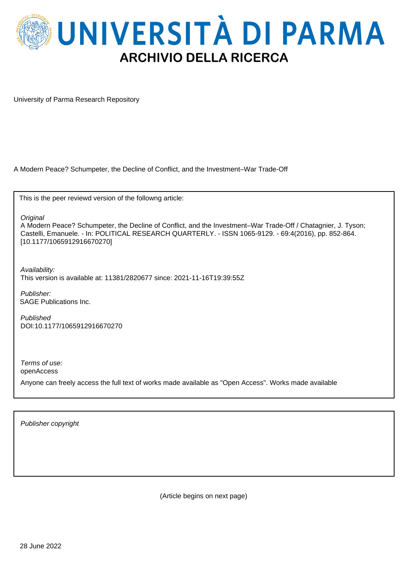

University of Parma Research Repository

A Modern Peace? Schumpeter, the Decline of Conflict, and the Investment–War Trade-Off

This is the peer reviewd version of the followng article:

**Original** 

A Modern Peace? Schumpeter, the Decline of Conflict, and the Investment–War Trade-Off / Chatagnier, J. Tyson; Castelli, Emanuele. - In: POLITICAL RESEARCH QUARTERLY. - ISSN 1065-9129. - 69:4(2016), pp. 852-864. [10.1177/1065912916670270]

Availability: This version is available at: 11381/2820677 since: 2021-11-16T19:39:55Z

Publisher: SAGE Publications Inc.

Published DOI:10.1177/1065912916670270

Terms of use: openAccess

Anyone can freely access the full text of works made available as "Open Access". Works made available

Publisher copyright

(Article begins on next page)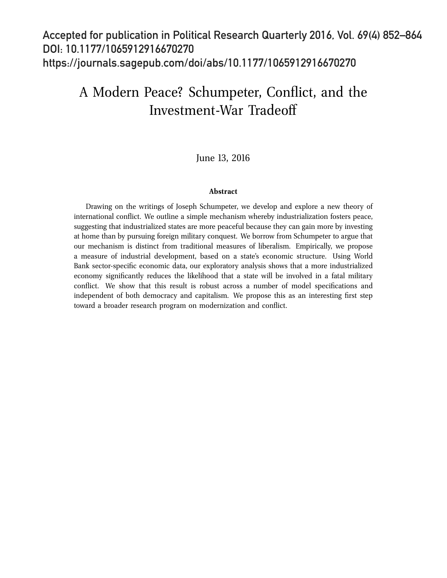# **Accepted for publication in Political Research Quarterly 2016, Vol. 69(4) 852–864 DOI: 10.1177/1065912916670270 https://journals.sagepub.com/doi/abs/10.1177/1065912916670270**

# A Modern Peace? Schumpeter, Conflict, and the Investment-War Tradeoff

June 13, 2016

#### **Abstract**

Drawing on the writings of Joseph Schumpeter, we develop and explore a new theory of international conflict. We outline a simple mechanism whereby industrialization fosters peace, suggesting that industrialized states are more peaceful because they can gain more by investing at home than by pursuing foreign military conquest. We borrow from Schumpeter to argue that our mechanism is distinct from traditional measures of liberalism. Empirically, we propose a measure of industrial development, based on a state's economic structure. Using World Bank sector-specific economic data, our exploratory analysis shows that a more industrialized economy significantly reduces the likelihood that a state will be involved in a fatal military conflict. We show that this result is robust across a number of model specifications and independent of both democracy and capitalism. We propose this as an interesting first step toward a broader research program on modernization and conflict.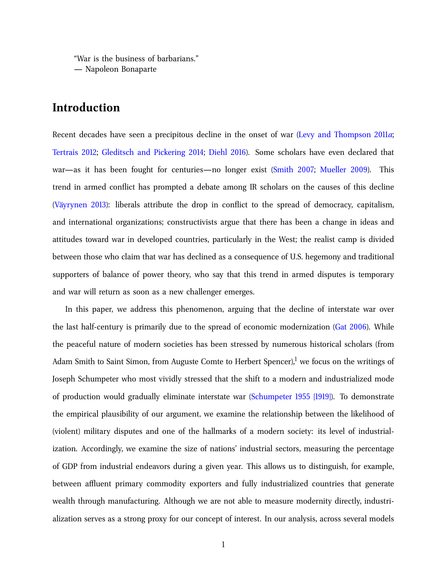"War is the business of barbarians." — Napoleon Bonaparte

### **Introduction**

Recent decades have seen a precipitous decline in the onset of war (Levy and Thompson 2011*a*; Tertrais 2012; Gleditsch and Pickering 2014; Diehl 2016). Some scholars have even declared that war—as it has been fought for centuries—no longer exist (Smith 2007; Mueller 2009). This trend in armed conflict has prompted a debate among IR scholars on the causes of this decline (Väyrynen 2013): liberals attribute the drop in conflict to the spread of democracy, capitalism, and international organizations; constructivists argue that there has been a change in ideas and attitudes toward war in developed countries, particularly in the West; the realist camp is divided between those who claim that war has declined as a consequence of U.S. hegemony and traditional supporters of balance of power theory, who say that this trend in armed disputes is temporary and war will return as soon as a new challenger emerges.

In this paper, we address this phenomenon, arguing that the decline of interstate war over the last half-century is primarily due to the spread of economic modernization (Gat 2006). While the peaceful nature of modern societies has been stressed by numerous historical scholars (from Adam Smith to Saint Simon, from Auguste Comte to Herbert Spencer),<sup>1</sup> we focus on the writings of Joseph Schumpeter who most vividly stressed that the shift to a modern and industrialized mode of production would gradually eliminate interstate war (Schumpeter 1955 [1919]). To demonstrate the empirical plausibility of our argument, we examine the relationship between the likelihood of (violent) military disputes and one of the hallmarks of a modern society: its level of industrialization. Accordingly, we examine the size of nations' industrial sectors, measuring the percentage of GDP from industrial endeavors during a given year. This allows us to distinguish, for example, between affluent primary commodity exporters and fully industrialized countries that generate wealth through manufacturing. Although we are not able to measure modernity directly, industrialization serves as a strong proxy for our concept of interest. In our analysis, across several models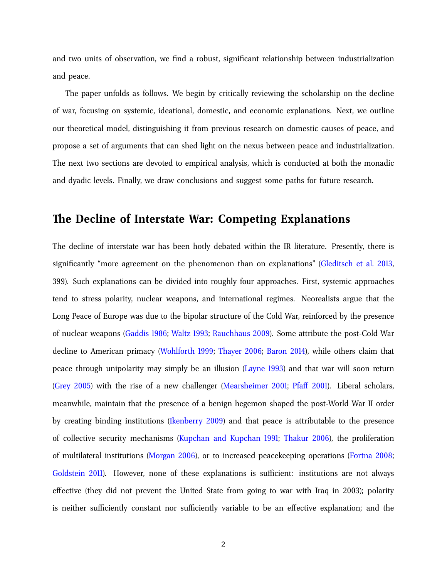and two units of observation, we find a robust, significant relationship between industrialization and peace.

The paper unfolds as follows. We begin by critically reviewing the scholarship on the decline of war, focusing on systemic, ideational, domestic, and economic explanations. Next, we outline our theoretical model, distinguishing it from previous research on domestic causes of peace, and propose a set of arguments that can shed light on the nexus between peace and industrialization. The next two sections are devoted to empirical analysis, which is conducted at both the monadic and dyadic levels. Finally, we draw conclusions and suggest some paths for future research.

### **The Decline of Interstate War: Competing Explanations**

The decline of interstate war has been hotly debated within the IR literature. Presently, there is significantly "more agreement on the phenomenon than on explanations" (Gleditsch et al. 2013, 399). Such explanations can be divided into roughly four approaches. First, systemic approaches tend to stress polarity, nuclear weapons, and international regimes. Neorealists argue that the Long Peace of Europe was due to the bipolar structure of the Cold War, reinforced by the presence of nuclear weapons (Gaddis 1986; Waltz 1993; Rauchhaus 2009). Some attribute the post-Cold War decline to American primacy (Wohlforth 1999; Thayer 2006; Baron 2014), while others claim that peace through unipolarity may simply be an illusion (Layne 1993) and that war will soon return (Grey 2005) with the rise of a new challenger (Mearsheimer 2001; Pfaff 2001). Liberal scholars, meanwhile, maintain that the presence of a benign hegemon shaped the post-World War II order by creating binding institutions (Ikenberry 2009) and that peace is attributable to the presence of collective security mechanisms (Kupchan and Kupchan 1991; Thakur 2006), the proliferation of multilateral institutions (Morgan 2006), or to increased peacekeeping operations (Fortna 2008; Goldstein 2011). However, none of these explanations is sufficient: institutions are not always effective (they did not prevent the United State from going to war with Iraq in 2003); polarity is neither sufficiently constant nor sufficiently variable to be an effective explanation; and the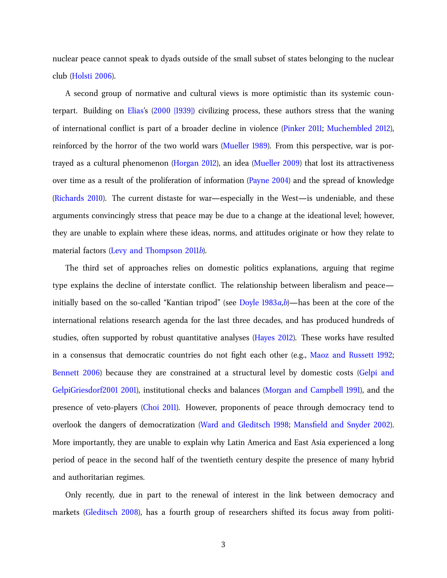nuclear peace cannot speak to dyads outside of the small subset of states belonging to the nuclear club (Holsti 2006).

A second group of normative and cultural views is more optimistic than its systemic counterpart. Building on Elias's (2000 [1939]) civilizing process, these authors stress that the waning of international conflict is part of a broader decline in violence (Pinker 2011; Muchembled 2012), reinforced by the horror of the two world wars (Mueller 1989). From this perspective, war is portrayed as a cultural phenomenon (Horgan 2012), an idea (Mueller 2009) that lost its attractiveness over time as a result of the proliferation of information (Payne 2004) and the spread of knowledge (Richards 2010). The current distaste for war—especially in the West—is undeniable, and these arguments convincingly stress that peace may be due to a change at the ideational level; however, they are unable to explain where these ideas, norms, and attitudes originate or how they relate to material factors (Levy and Thompson 2011*b*).

The third set of approaches relies on domestic politics explanations, arguing that regime type explains the decline of interstate conflict. The relationship between liberalism and peace initially based on the so-called "Kantian tripod" (see Doyle 1983*a*,*b*)—has been at the core of the international relations research agenda for the last three decades, and has produced hundreds of studies, often supported by robust quantitative analyses (Hayes 2012). These works have resulted in a consensus that democratic countries do not fight each other (e.g., Maoz and Russett 1992; Bennett 2006) because they are constrained at a structural level by domestic costs (Gelpi and GelpiGriesdorf2001 2001), institutional checks and balances (Morgan and Campbell 1991), and the presence of veto-players (Choi 2011). However, proponents of peace through democracy tend to overlook the dangers of democratization (Ward and Gleditsch 1998; Mansfield and Snyder 2002). More importantly, they are unable to explain why Latin America and East Asia experienced a long period of peace in the second half of the twentieth century despite the presence of many hybrid and authoritarian regimes.

Only recently, due in part to the renewal of interest in the link between democracy and markets (Gleditsch 2008), has a fourth group of researchers shifted its focus away from politi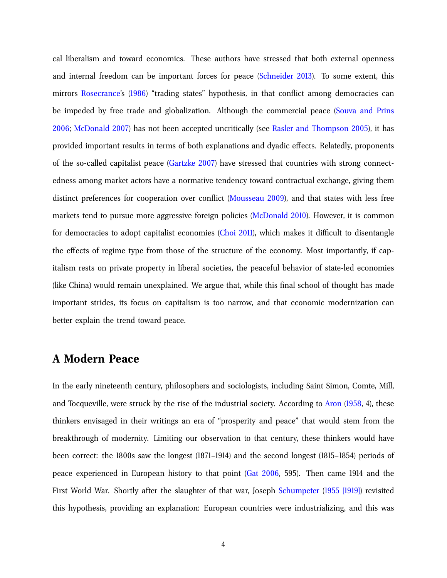cal liberalism and toward economics. These authors have stressed that both external openness and internal freedom can be important forces for peace (Schneider 2013). To some extent, this mirrors Rosecrance's (1986) "trading states" hypothesis, in that conflict among democracies can be impeded by free trade and globalization. Although the commercial peace (Souva and Prins 2006; McDonald 2007) has not been accepted uncritically (see Rasler and Thompson 2005), it has provided important results in terms of both explanations and dyadic effects. Relatedly, proponents of the so-called capitalist peace (Gartzke 2007) have stressed that countries with strong connectedness among market actors have a normative tendency toward contractual exchange, giving them distinct preferences for cooperation over conflict (Mousseau 2009), and that states with less free markets tend to pursue more aggressive foreign policies (McDonald 2010). However, it is common for democracies to adopt capitalist economies (Choi 2011), which makes it difficult to disentangle the effects of regime type from those of the structure of the economy. Most importantly, if capitalism rests on private property in liberal societies, the peaceful behavior of state-led economies (like China) would remain unexplained. We argue that, while this final school of thought has made important strides, its focus on capitalism is too narrow, and that economic modernization can better explain the trend toward peace.

## **A Modern Peace**

In the early nineteenth century, philosophers and sociologists, including Saint Simon, Comte, Mill, and Tocqueville, were struck by the rise of the industrial society. According to Aron (1958, 4), these thinkers envisaged in their writings an era of "prosperity and peace" that would stem from the breakthrough of modernity. Limiting our observation to that century, these thinkers would have been correct: the 1800s saw the longest (1871–1914) and the second longest (1815–1854) periods of peace experienced in European history to that point (Gat 2006, 595). Then came 1914 and the First World War. Shortly after the slaughter of that war, Joseph Schumpeter (1955 [1919]) revisited this hypothesis, providing an explanation: European countries were industrializing, and this was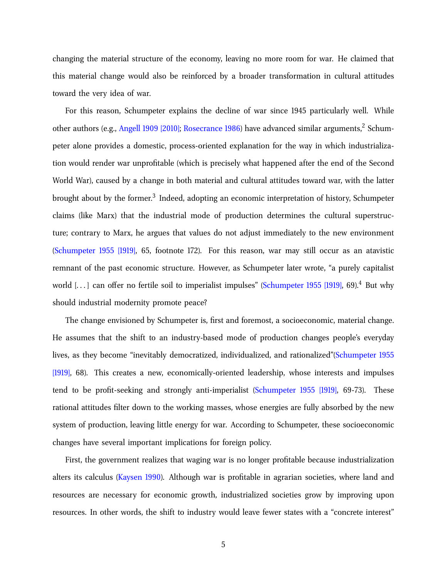changing the material structure of the economy, leaving no more room for war. He claimed that this material change would also be reinforced by a broader transformation in cultural attitudes toward the very idea of war.

For this reason, Schumpeter explains the decline of war since 1945 particularly well. While other authors (e.g., Angell 1909 [2010]; Rosecrance 1986) have advanced similar arguments, $^2$  Schumpeter alone provides a domestic, process-oriented explanation for the way in which industrialization would render war unprofitable (which is precisely what happened after the end of the Second World War), caused by a change in both material and cultural attitudes toward war, with the latter brought about by the former.<sup>3</sup> Indeed, adopting an economic interpretation of history, Schumpeter claims (like Marx) that the industrial mode of production determines the cultural superstructure; contrary to Marx, he argues that values do not adjust immediately to the new environment (Schumpeter 1955 [1919], 65, footnote 172). For this reason, war may still occur as an atavistic remnant of the past economic structure. However, as Schumpeter later wrote, "a purely capitalist world [...] can offer no fertile soil to imperialist impulses" (Schumpeter 1955 [1919], 69).<sup>4</sup> But why should industrial modernity promote peace?

The change envisioned by Schumpeter is, first and foremost, a socioeconomic, material change. He assumes that the shift to an industry-based mode of production changes people's everyday lives, as they become "inevitably democratized, individualized, and rationalized"(Schumpeter 1955 [1919], 68). This creates a new, economically-oriented leadership, whose interests and impulses tend to be profit-seeking and strongly anti-imperialist (Schumpeter 1955 [1919], 69-73). These rational attitudes filter down to the working masses, whose energies are fully absorbed by the new system of production, leaving little energy for war. According to Schumpeter, these socioeconomic changes have several important implications for foreign policy.

First, the government realizes that waging war is no longer profitable because industrialization alters its calculus (Kaysen 1990). Although war is profitable in agrarian societies, where land and resources are necessary for economic growth, industrialized societies grow by improving upon resources. In other words, the shift to industry would leave fewer states with a "concrete interest"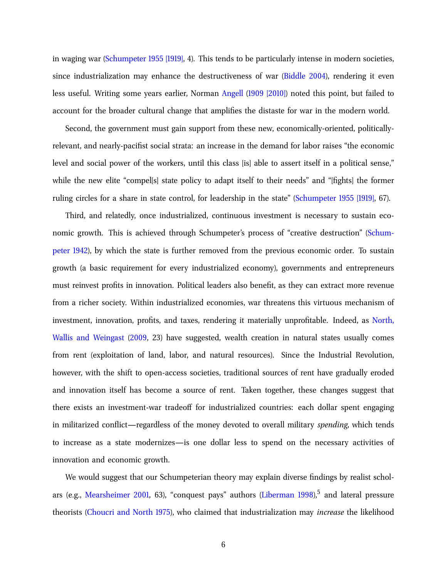in waging war (Schumpeter 1955 [1919], 4). This tends to be particularly intense in modern societies, since industrialization may enhance the destructiveness of war (Biddle 2004), rendering it even less useful. Writing some years earlier, Norman Angell (1909 [2010]) noted this point, but failed to account for the broader cultural change that amplifies the distaste for war in the modern world.

Second, the government must gain support from these new, economically-oriented, politicallyrelevant, and nearly-pacifist social strata: an increase in the demand for labor raises "the economic level and social power of the workers, until this class [is] able to assert itself in a political sense," while the new elite "compel[s] state policy to adapt itself to their needs" and "[fights] the former ruling circles for a share in state control, for leadership in the state" (Schumpeter 1955 [1919], 67).

Third, and relatedly, once industrialized, continuous investment is necessary to sustain economic growth. This is achieved through Schumpeter's process of "creative destruction" (Schumpeter 1942), by which the state is further removed from the previous economic order. To sustain growth (a basic requirement for every industrialized economy), governments and entrepreneurs must reinvest profits in innovation. Political leaders also benefit, as they can extract more revenue from a richer society. Within industrialized economies, war threatens this virtuous mechanism of investment, innovation, profits, and taxes, rendering it materially unprofitable. Indeed, as North, Wallis and Weingast (2009, 23) have suggested, wealth creation in natural states usually comes from rent (exploitation of land, labor, and natural resources). Since the Industrial Revolution, however, with the shift to open-access societies, traditional sources of rent have gradually eroded and innovation itself has become a source of rent. Taken together, these changes suggest that there exists an investment-war tradeoff for industrialized countries: each dollar spent engaging in militarized conflict—regardless of the money devoted to overall military *spending*, which tends to increase as a state modernizes—is one dollar less to spend on the necessary activities of innovation and economic growth.

We would suggest that our Schumpeterian theory may explain diverse findings by realist scholars (e.g., Mearsheimer 2001, 63), "conquest pays" authors (Liberman 1998),<sup>5</sup> and lateral pressure theorists (Choucri and North 1975), who claimed that industrialization may *increase* the likelihood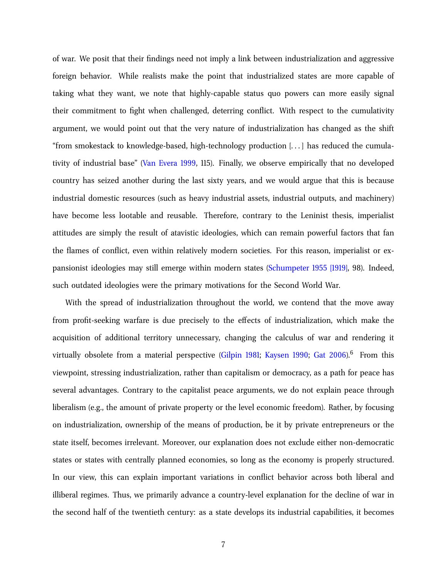of war. We posit that their findings need not imply a link between industrialization and aggressive foreign behavior. While realists make the point that industrialized states are more capable of taking what they want, we note that highly-capable status quo powers can more easily signal their commitment to fight when challenged, deterring conflict. With respect to the cumulativity argument, we would point out that the very nature of industrialization has changed as the shift "from smokestack to knowledge-based, high-technology production [. . . ] has reduced the cumulativity of industrial base" (Van Evera 1999, 115). Finally, we observe empirically that no developed country has seized another during the last sixty years, and we would argue that this is because industrial domestic resources (such as heavy industrial assets, industrial outputs, and machinery) have become less lootable and reusable. Therefore, contrary to the Leninist thesis, imperialist attitudes are simply the result of atavistic ideologies, which can remain powerful factors that fan the flames of conflict, even within relatively modern societies. For this reason, imperialist or expansionist ideologies may still emerge within modern states (Schumpeter 1955 [1919], 98). Indeed, such outdated ideologies were the primary motivations for the Second World War.

With the spread of industrialization throughout the world, we contend that the move away from profit-seeking warfare is due precisely to the effects of industrialization, which make the acquisition of additional territory unnecessary, changing the calculus of war and rendering it virtually obsolete from a material perspective (Gilpin 1981; Kaysen 1990; Gat 2006).<sup>6</sup> From this viewpoint, stressing industrialization, rather than capitalism or democracy, as a path for peace has several advantages. Contrary to the capitalist peace arguments, we do not explain peace through liberalism (e.g., the amount of private property or the level economic freedom). Rather, by focusing on industrialization, ownership of the means of production, be it by private entrepreneurs or the state itself, becomes irrelevant. Moreover, our explanation does not exclude either non-democratic states or states with centrally planned economies, so long as the economy is properly structured. In our view, this can explain important variations in conflict behavior across both liberal and illiberal regimes. Thus, we primarily advance a country-level explanation for the decline of war in the second half of the twentieth century: as a state develops its industrial capabilities, it becomes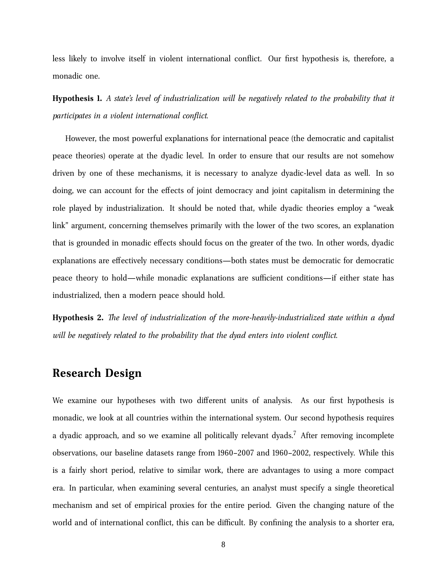less likely to involve itself in violent international conflict. Our first hypothesis is, therefore, a monadic one.

**Hypothesis 1.** *A state's level of industrialization will be negatively related to the probability that it participates in a violent international conflict.*

However, the most powerful explanations for international peace (the democratic and capitalist peace theories) operate at the dyadic level. In order to ensure that our results are not somehow driven by one of these mechanisms, it is necessary to analyze dyadic-level data as well. In so doing, we can account for the effects of joint democracy and joint capitalism in determining the role played by industrialization. It should be noted that, while dyadic theories employ a "weak link" argument, concerning themselves primarily with the lower of the two scores, an explanation that is grounded in monadic effects should focus on the greater of the two. In other words, dyadic explanations are effectively necessary conditions—both states must be democratic for democratic peace theory to hold—while monadic explanations are sufficient conditions—if either state has industrialized, then a modern peace should hold.

**Hypothesis 2.** *The level of industrialization of the more-heavily-industrialized state within a dyad will be negatively related to the probability that the dyad enters into violent conflict.*

### **Research Design**

We examine our hypotheses with two different units of analysis. As our first hypothesis is monadic, we look at all countries within the international system. Our second hypothesis requires a dyadic approach, and so we examine all politically relevant dyads.<sup>7</sup> After removing incomplete observations, our baseline datasets range from 1960–2007 and 1960–2002, respectively. While this is a fairly short period, relative to similar work, there are advantages to using a more compact era. In particular, when examining several centuries, an analyst must specify a single theoretical mechanism and set of empirical proxies for the entire period. Given the changing nature of the world and of international conflict, this can be difficult. By confining the analysis to a shorter era,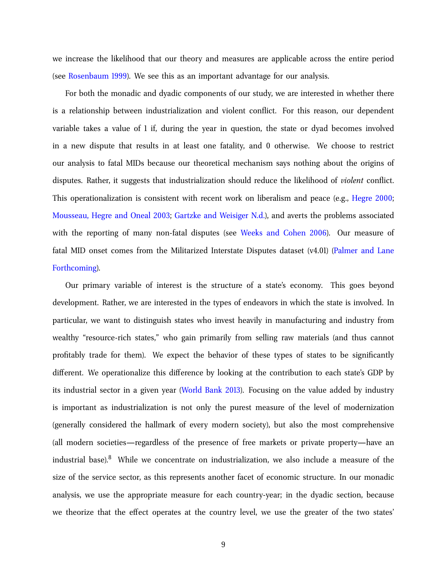we increase the likelihood that our theory and measures are applicable across the entire period (see Rosenbaum 1999). We see this as an important advantage for our analysis.

For both the monadic and dyadic components of our study, we are interested in whether there is a relationship between industrialization and violent conflict. For this reason, our dependent variable takes a value of 1 if, during the year in question, the state or dyad becomes involved in a new dispute that results in at least one fatality, and 0 otherwise. We choose to restrict our analysis to fatal MIDs because our theoretical mechanism says nothing about the origins of disputes. Rather, it suggests that industrialization should reduce the likelihood of *violent* conflict. This operationalization is consistent with recent work on liberalism and peace (e.g., Hegre 2000; Mousseau, Hegre and Oneal 2003; Gartzke and Weisiger N.d.), and averts the problems associated with the reporting of many non-fatal disputes (see Weeks and Cohen 2006). Our measure of fatal MID onset comes from the Militarized Interstate Disputes dataset (v4.01) (Palmer and Lane Forthcoming).

Our primary variable of interest is the structure of a state's economy. This goes beyond development. Rather, we are interested in the types of endeavors in which the state is involved. In particular, we want to distinguish states who invest heavily in manufacturing and industry from wealthy "resource-rich states," who gain primarily from selling raw materials (and thus cannot profitably trade for them). We expect the behavior of these types of states to be significantly different. We operationalize this difference by looking at the contribution to each state's GDP by its industrial sector in a given year (World Bank 2013). Focusing on the value added by industry is important as industrialization is not only the purest measure of the level of modernization (generally considered the hallmark of every modern society), but also the most comprehensive (all modern societies—regardless of the presence of free markets or private property—have an industrial base). $8$  While we concentrate on industrialization, we also include a measure of the size of the service sector, as this represents another facet of economic structure. In our monadic analysis, we use the appropriate measure for each country-year; in the dyadic section, because we theorize that the effect operates at the country level, we use the greater of the two states'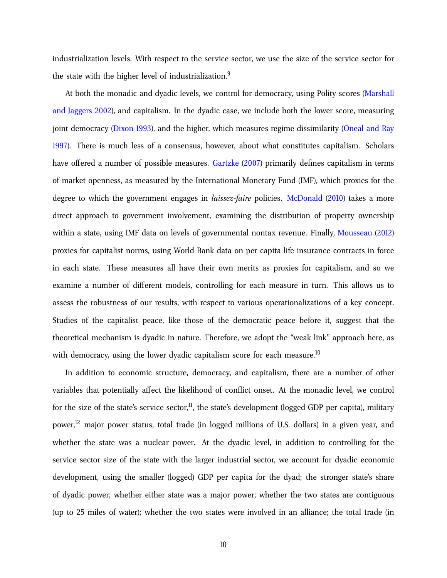industrialization levels. With respect to the service sector, we use the size of the service sector for the state with the higher level of industrialization.<sup>9</sup>

At both the monadic and dyadic levels, we control for democracy, using Polity scores (Marshall and Jaggers 2002), and capitalism. In the dyadic case, we include both the lower score, measuring joint democracy (Dixon 1993), and the higher, which measures regime dissimilarity (Oneal and Ray 1997). There is much less of a consensus, however, about what constitutes capitalism. Scholars have offered a number of possible measures. Gartzke (2007) primarily defines capitalism in terms of market openness, as measured by the International Monetary Fund (IMF), which proxies for the degree to which the government engages in *laissez-faire* policies. McDonald (2010) takes a more direct approach to government involvement, examining the distribution of property ownership within a state, using IMF data on levels of governmental nontax revenue. Finally, Mousseau (2012) proxies for capitalist norms, using World Bank data on per capita life insurance contracts in force in each state. These measures all have their own merits as proxies for capitalism, and so we examine a number of different models, controlling for each measure in turn. This allows us to assess the robustness of our results, with respect to various operationalizations of a key concept. Studies of the capitalist peace, like those of the democratic peace before it, suggest that the theoretical mechanism is dyadic in nature. Therefore, we adopt the "weak link" approach here, as with democracy, using the lower dyadic capitalism score for each measure.<sup>10</sup>

In addition to economic structure, democracy, and capitalism, there are a number of other variables that potentially affect the likelihood of conflict onset. At the monadic level, we control for the size of the state's service sector,<sup>11</sup>, the state's development (logged GDP per capita), military power,<sup>12</sup> major power status, total trade (in logged millions of U.S. dollars) in a given year, and whether the state was a nuclear power. At the dyadic level, in addition to controlling for the service sector size of the state with the larger industrial sector, we account for dyadic economic development, using the smaller (logged) GDP per capita for the dyad; the stronger state's share of dyadic power; whether either state was a major power; whether the two states are contiguous (up to 25 miles of water); whether the two states were involved in an alliance; the total trade (in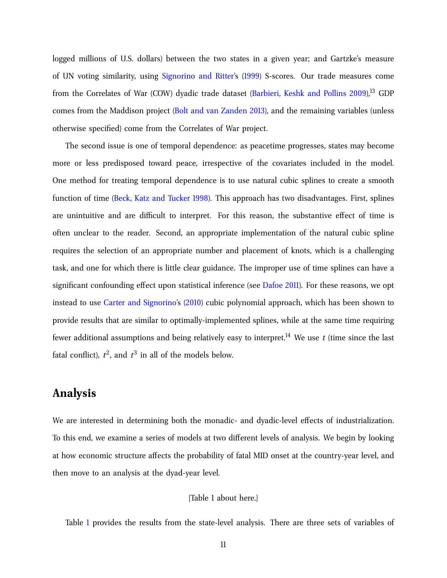logged millions of U.S. dollars) between the two states in a given year; and Gartzke's measure of UN voting similarity, using Signorino and Ritter's (1999) S-scores. Our trade measures come from the Correlates of War (COW) dyadic trade dataset (Barbieri, Keshk and Pollins 2009),<sup>13</sup> GDP comes from the Maddison project (Bolt and van Zanden 2013), and the remaining variables (unless otherwise specified) come from the Correlates of War project.

The second issue is one of temporal dependence: as peacetime progresses, states may become more or less predisposed toward peace, irrespective of the covariates included in the model. One method for treating temporal dependence is to use natural cubic splines to create a smooth function of time (Beck, Katz and Tucker 1998). This approach has two disadvantages. First, splines are unintuitive and are difficult to interpret. For this reason, the substantive effect of time is often unclear to the reader. Second, an appropriate implementation of the natural cubic spline requires the selection of an appropriate number and placement of knots, which is a challenging task, and one for which there is little clear guidance. The improper use of time splines can have a significant confounding effect upon statistical inference (see Dafoe 2011). For these reasons, we opt instead to use Carter and Signorino's (2010) cubic polynomial approach, which has been shown to provide results that are similar to optimally-implemented splines, while at the same time requiring fewer additional assumptions and being relatively easy to interpret.<sup>14</sup> We use  $t$  (time since the last fatal conflict),  $t^2$ , and  $t^3$  in all of the models below.

### **Analysis**

We are interested in determining both the monadic- and dyadic-level effects of industrialization. To this end, we examine a series of models at two different levels of analysis. We begin by looking at how economic structure affects the probability of fatal MID onset at the country-year level, and then move to an analysis at the dyad-year level.

#### [Table 1 about here.]

Table 1 provides the results from the state-level analysis. There are three sets of variables of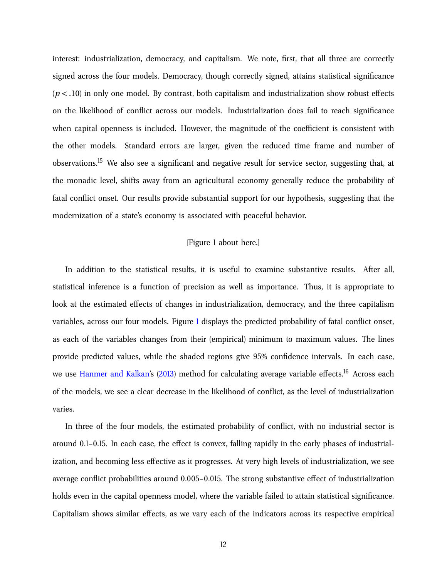interest: industrialization, democracy, and capitalism. We note, first, that all three are correctly signed across the four models. Democracy, though correctly signed, attains statistical significance  $(p < .10)$  in only one model. By contrast, both capitalism and industrialization show robust effects on the likelihood of conflict across our models. Industrialization does fail to reach significance when capital openness is included. However, the magnitude of the coefficient is consistent with the other models. Standard errors are larger, given the reduced time frame and number of observations.<sup>15</sup> We also see a significant and negative result for service sector, suggesting that, at the monadic level, shifts away from an agricultural economy generally reduce the probability of fatal conflict onset. Our results provide substantial support for our hypothesis, suggesting that the modernization of a state's economy is associated with peaceful behavior.

#### [Figure 1 about here.]

In addition to the statistical results, it is useful to examine substantive results. After all, statistical inference is a function of precision as well as importance. Thus, it is appropriate to look at the estimated effects of changes in industrialization, democracy, and the three capitalism variables, across our four models. Figure 1 displays the predicted probability of fatal conflict onset, as each of the variables changes from their (empirical) minimum to maximum values. The lines provide predicted values, while the shaded regions give 95% confidence intervals. In each case, we use Hanmer and Kalkan's (2013) method for calculating average variable effects.<sup>16</sup> Across each of the models, we see a clear decrease in the likelihood of conflict, as the level of industrialization varies.

In three of the four models, the estimated probability of conflict, with no industrial sector is around 0.1–0.15. In each case, the effect is convex, falling rapidly in the early phases of industrialization, and becoming less effective as it progresses. At very high levels of industrialization, we see average conflict probabilities around 0.005–0.015. The strong substantive effect of industrialization holds even in the capital openness model, where the variable failed to attain statistical significance. Capitalism shows similar effects, as we vary each of the indicators across its respective empirical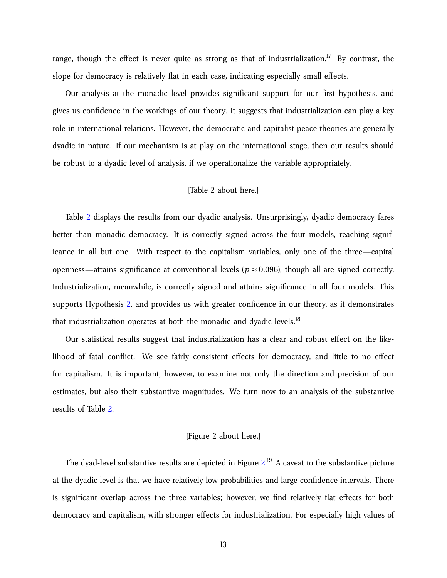range, though the effect is never quite as strong as that of industrialization.<sup>17</sup> By contrast, the slope for democracy is relatively flat in each case, indicating especially small effects.

Our analysis at the monadic level provides significant support for our first hypothesis, and gives us confidence in the workings of our theory. It suggests that industrialization can play a key role in international relations. However, the democratic and capitalist peace theories are generally dyadic in nature. If our mechanism is at play on the international stage, then our results should be robust to a dyadic level of analysis, if we operationalize the variable appropriately.

#### [Table 2 about here.]

Table 2 displays the results from our dyadic analysis. Unsurprisingly, dyadic democracy fares better than monadic democracy. It is correctly signed across the four models, reaching significance in all but one. With respect to the capitalism variables, only one of the three—capital openness—attains significance at conventional levels ( $p \approx 0.096$ ), though all are signed correctly. Industrialization, meanwhile, is correctly signed and attains significance in all four models. This supports Hypothesis 2, and provides us with greater confidence in our theory, as it demonstrates that industrialization operates at both the monadic and dyadic levels.<sup>18</sup>

Our statistical results suggest that industrialization has a clear and robust effect on the likelihood of fatal conflict. We see fairly consistent effects for democracy, and little to no effect for capitalism. It is important, however, to examine not only the direction and precision of our estimates, but also their substantive magnitudes. We turn now to an analysis of the substantive results of Table 2.

#### [Figure 2 about here.]

The dyad-level substantive results are depicted in Figure 2.<sup>19</sup> A caveat to the substantive picture at the dyadic level is that we have relatively low probabilities and large confidence intervals. There is significant overlap across the three variables; however, we find relatively flat effects for both democracy and capitalism, with stronger effects for industrialization. For especially high values of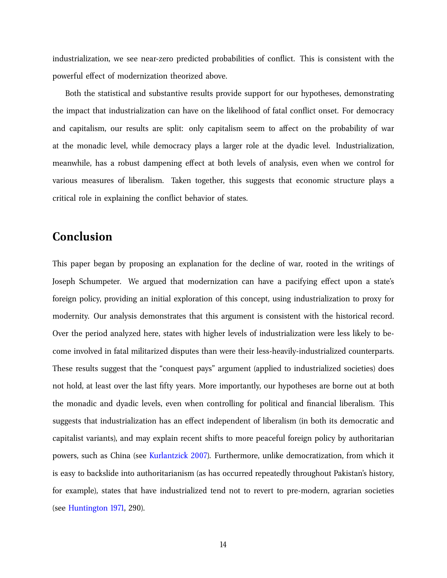industrialization, we see near-zero predicted probabilities of conflict. This is consistent with the powerful effect of modernization theorized above.

Both the statistical and substantive results provide support for our hypotheses, demonstrating the impact that industrialization can have on the likelihood of fatal conflict onset. For democracy and capitalism, our results are split: only capitalism seem to affect on the probability of war at the monadic level, while democracy plays a larger role at the dyadic level. Industrialization, meanwhile, has a robust dampening effect at both levels of analysis, even when we control for various measures of liberalism. Taken together, this suggests that economic structure plays a critical role in explaining the conflict behavior of states.

## **Conclusion**

This paper began by proposing an explanation for the decline of war, rooted in the writings of Joseph Schumpeter. We argued that modernization can have a pacifying effect upon a state's foreign policy, providing an initial exploration of this concept, using industrialization to proxy for modernity. Our analysis demonstrates that this argument is consistent with the historical record. Over the period analyzed here, states with higher levels of industrialization were less likely to become involved in fatal militarized disputes than were their less-heavily-industrialized counterparts. These results suggest that the "conquest pays" argument (applied to industrialized societies) does not hold, at least over the last fifty years. More importantly, our hypotheses are borne out at both the monadic and dyadic levels, even when controlling for political and financial liberalism. This suggests that industrialization has an effect independent of liberalism (in both its democratic and capitalist variants), and may explain recent shifts to more peaceful foreign policy by authoritarian powers, such as China (see Kurlantzick 2007). Furthermore, unlike democratization, from which it is easy to backslide into authoritarianism (as has occurred repeatedly throughout Pakistan's history, for example), states that have industrialized tend not to revert to pre-modern, agrarian societies (see Huntington 1971, 290).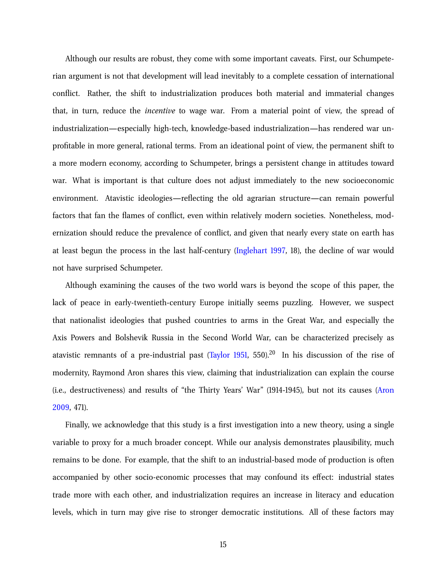Although our results are robust, they come with some important caveats. First, our Schumpeterian argument is not that development will lead inevitably to a complete cessation of international conflict. Rather, the shift to industrialization produces both material and immaterial changes that, in turn, reduce the *incentive* to wage war. From a material point of view, the spread of industrialization—especially high-tech, knowledge-based industrialization—has rendered war unprofitable in more general, rational terms. From an ideational point of view, the permanent shift to a more modern economy, according to Schumpeter, brings a persistent change in attitudes toward war. What is important is that culture does not adjust immediately to the new socioeconomic environment. Atavistic ideologies—reflecting the old agrarian structure—can remain powerful factors that fan the flames of conflict, even within relatively modern societies. Nonetheless, modernization should reduce the prevalence of conflict, and given that nearly every state on earth has at least begun the process in the last half-century (Inglehart 1997, 18), the decline of war would not have surprised Schumpeter.

Although examining the causes of the two world wars is beyond the scope of this paper, the lack of peace in early-twentieth-century Europe initially seems puzzling. However, we suspect that nationalist ideologies that pushed countries to arms in the Great War, and especially the Axis Powers and Bolshevik Russia in the Second World War, can be characterized precisely as atavistic remnants of a pre-industrial past (Taylor 1951, 550).<sup>20</sup> In his discussion of the rise of modernity, Raymond Aron shares this view, claiming that industrialization can explain the course (i.e., destructiveness) and results of "the Thirty Years' War" (1914-1945), but not its causes (Aron 2009, 471).

Finally, we acknowledge that this study is a first investigation into a new theory, using a single variable to proxy for a much broader concept. While our analysis demonstrates plausibility, much remains to be done. For example, that the shift to an industrial-based mode of production is often accompanied by other socio-economic processes that may confound its effect: industrial states trade more with each other, and industrialization requires an increase in literacy and education levels, which in turn may give rise to stronger democratic institutions. All of these factors may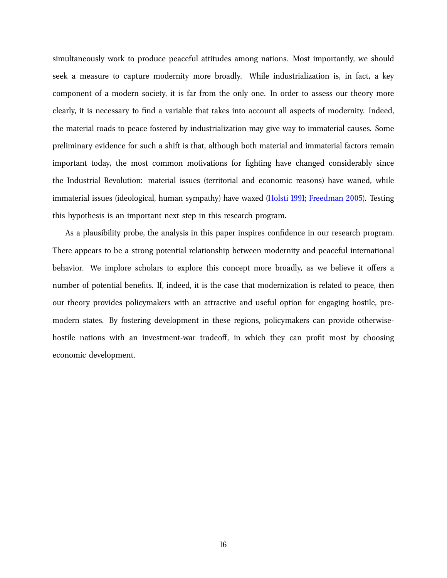simultaneously work to produce peaceful attitudes among nations. Most importantly, we should seek a measure to capture modernity more broadly. While industrialization is, in fact, a key component of a modern society, it is far from the only one. In order to assess our theory more clearly, it is necessary to find a variable that takes into account all aspects of modernity. Indeed, the material roads to peace fostered by industrialization may give way to immaterial causes. Some preliminary evidence for such a shift is that, although both material and immaterial factors remain important today, the most common motivations for fighting have changed considerably since the Industrial Revolution: material issues (territorial and economic reasons) have waned, while immaterial issues (ideological, human sympathy) have waxed (Holsti 1991; Freedman 2005). Testing this hypothesis is an important next step in this research program.

As a plausibility probe, the analysis in this paper inspires confidence in our research program. There appears to be a strong potential relationship between modernity and peaceful international behavior. We implore scholars to explore this concept more broadly, as we believe it offers a number of potential benefits. If, indeed, it is the case that modernization is related to peace, then our theory provides policymakers with an attractive and useful option for engaging hostile, premodern states. By fostering development in these regions, policymakers can provide otherwisehostile nations with an investment-war tradeoff, in which they can profit most by choosing economic development.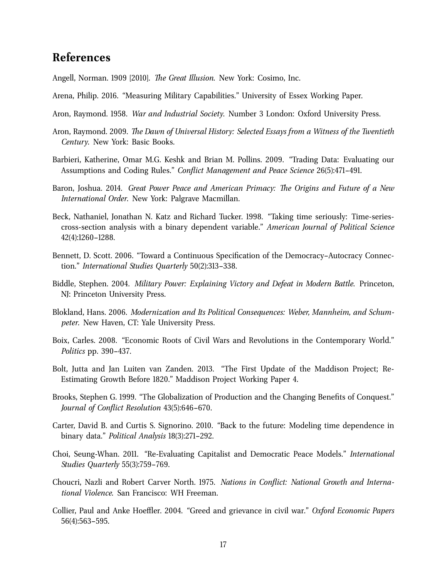# **References**

Angell, Norman. 1909 [2010]. *The Great Illusion*. New York: Cosimo, Inc.

- Arena, Philip. 2016. "Measuring Military Capabilities." University of Essex Working Paper.
- Aron, Raymond. 1958. *War and Industrial Society*. Number 3 London: Oxford University Press.
- Aron, Raymond. 2009. *The Dawn of Universal History: Selected Essays from a Witness of the Twentieth Century*. New York: Basic Books.
- Barbieri, Katherine, Omar M.G. Keshk and Brian M. Pollins. 2009. "Trading Data: Evaluating our Assumptions and Coding Rules." *Conflict Management and Peace Science* 26(5):471–491.
- Baron, Joshua. 2014. *Great Power Peace and American Primacy: The Origins and Future of a New International Order*. New York: Palgrave Macmillan.
- Beck, Nathaniel, Jonathan N. Katz and Richard Tucker. 1998. "Taking time seriously: Time-seriescross-section analysis with a binary dependent variable." *American Journal of Political Science* 42(4):1260–1288.
- Bennett, D. Scott. 2006. "Toward a Continuous Specification of the Democracy–Autocracy Connection." *International Studies Quarterly* 50(2):313–338.
- Biddle, Stephen. 2004. *Military Power: Explaining Victory and Defeat in Modern Battle*. Princeton, NJ: Princeton University Press.
- Blokland, Hans. 2006. *Modernization and Its Political Consequences: Weber, Mannheim, and Schumpeter*. New Haven, CT: Yale University Press.
- Boix, Carles. 2008. "Economic Roots of Civil Wars and Revolutions in the Contemporary World." *Politics* pp. 390–437.
- Bolt, Jutta and Jan Luiten van Zanden. 2013. "The First Update of the Maddison Project; Re-Estimating Growth Before 1820." Maddison Project Working Paper 4.
- Brooks, Stephen G. 1999. "The Globalization of Production and the Changing Benefits of Conquest." *Journal of Conflict Resolution* 43(5):646–670.
- Carter, David B. and Curtis S. Signorino. 2010. "Back to the future: Modeling time dependence in binary data." *Political Analysis* 18(3):271–292.
- Choi, Seung-Whan. 2011. "Re-Evaluating Capitalist and Democratic Peace Models." *International Studies Quarterly* 55(3):759–769.
- Choucri, Nazli and Robert Carver North. 1975. *Nations in Conflict: National Growth and International Violence*. San Francisco: WH Freeman.
- Collier, Paul and Anke Hoeffler. 2004. "Greed and grievance in civil war." *Oxford Economic Papers* 56(4):563–595.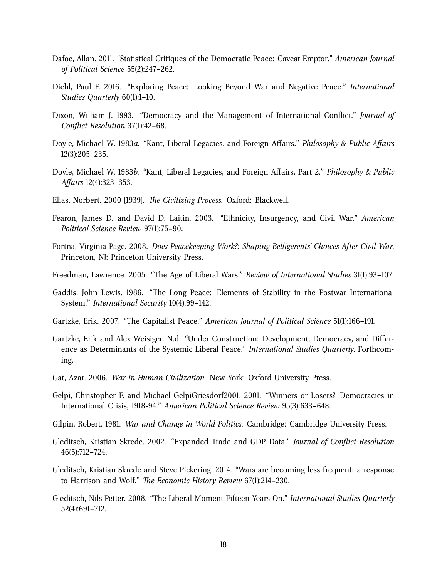- Dafoe, Allan. 2011. "Statistical Critiques of the Democratic Peace: Caveat Emptor." *American Journal of Political Science* 55(2):247–262.
- Diehl, Paul F. 2016. "Exploring Peace: Looking Beyond War and Negative Peace." *International Studies Quarterly* 60(1):1–10.
- Dixon, William J. 1993. "Democracy and the Management of International Conflict." *Journal of Conflict Resolution* 37(1):42–68.
- Doyle, Michael W. 1983*a*. "Kant, Liberal Legacies, and Foreign Affairs." *Philosophy & Public Affairs* 12(3):205–235.
- Doyle, Michael W. 1983*b*. "Kant, Liberal Legacies, and Foreign Affairs, Part 2." *Philosophy & Public Affairs* 12(4):323–353.
- Elias, Norbert. 2000 [1939]. *The Civilizing Process*. Oxford: Blackwell.
- Fearon, James D. and David D. Laitin. 2003. "Ethnicity, Insurgency, and Civil War." *American Political Science Review* 97(1):75–90.
- Fortna, Virginia Page. 2008. *Does Peacekeeping Work?: Shaping Belligerents' Choices After Civil War*. Princeton, NJ: Princeton University Press.
- Freedman, Lawrence. 2005. "The Age of Liberal Wars." *Review of International Studies* 31(1):93–107.
- Gaddis, John Lewis. 1986. "The Long Peace: Elements of Stability in the Postwar International System." *International Security* 10(4):99–142.
- Gartzke, Erik. 2007. "The Capitalist Peace." *American Journal of Political Science* 51(1):166–191.
- Gartzke, Erik and Alex Weisiger. N.d. "Under Construction: Development, Democracy, and Difference as Determinants of the Systemic Liberal Peace." *International Studies Quarterly*. Forthcoming.
- Gat, Azar. 2006. *War in Human Civilization*. New York: Oxford University Press.
- Gelpi, Christopher F. and Michael GelpiGriesdorf2001. 2001. "Winners or Losers? Democracies in International Crisis, 1918-94." *American Political Science Review* 95(3):633–648.
- Gilpin, Robert. 1981. *War and Change in World Politics*. Cambridge: Cambridge University Press.
- Gleditsch, Kristian Skrede. 2002. "Expanded Trade and GDP Data." *Journal of Conflict Resolution* 46(5):712–724.
- Gleditsch, Kristian Skrede and Steve Pickering. 2014. "Wars are becoming less frequent: a response to Harrison and Wolf." *The Economic History Review* 67(1):214–230.
- Gleditsch, Nils Petter. 2008. "The Liberal Moment Fifteen Years On." *International Studies Quarterly* 52(4):691–712.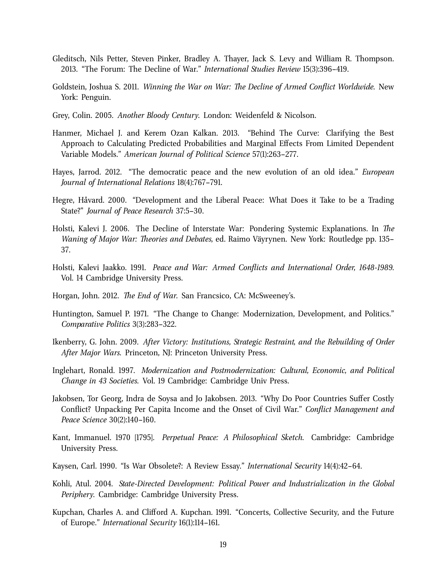- Gleditsch, Nils Petter, Steven Pinker, Bradley A. Thayer, Jack S. Levy and William R. Thompson. 2013. "The Forum: The Decline of War." *International Studies Review* 15(3):396–419.
- Goldstein, Joshua S. 2011. *Winning the War on War: The Decline of Armed Conflict Worldwide*. New York: Penguin.
- Grey, Colin. 2005. *Another Bloody Century*. London: Weidenfeld & Nicolson.
- Hanmer, Michael J. and Kerem Ozan Kalkan. 2013. "Behind The Curve: Clarifying the Best Approach to Calculating Predicted Probabilities and Marginal Effects From Limited Dependent Variable Models." *American Journal of Political Science* 57(1):263–277.
- Hayes, Jarrod. 2012. "The democratic peace and the new evolution of an old idea." *European Journal of International Relations* 18(4):767–791.
- Hegre, Håvard. 2000. "Development and the Liberal Peace: What Does it Take to be a Trading State?" *Journal of Peace Research* 37:5–30.
- Holsti, Kalevi J. 2006. The Decline of Interstate War: Pondering Systemic Explanations. In *The Waning of Major War: Theories and Debates*, ed. Raimo Väyrynen. New York: Routledge pp. 135– 37.
- Holsti, Kalevi Jaakko. 1991. *Peace and War: Armed Conflicts and International Order, 1648-1989*. Vol. 14 Cambridge University Press.
- Horgan, John. 2012. *The End of War*. San Francsico, CA: McSweeney's.
- Huntington, Samuel P. 1971. "The Change to Change: Modernization, Development, and Politics." *Comparative Politics* 3(3):283–322.
- Ikenberry, G. John. 2009. *After Victory: Institutions, Strategic Restraint, and the Rebuilding of Order After Major Wars*. Princeton, NJ: Princeton University Press.
- Inglehart, Ronald. 1997. *Modernization and Postmodernization: Cultural, Economic, and Political Change in 43 Societies*. Vol. 19 Cambridge: Cambridge Univ Press.
- Jakobsen, Tor Georg, Indra de Soysa and Jo Jakobsen. 2013. "Why Do Poor Countries Suffer Costly Conflict? Unpacking Per Capita Income and the Onset of Civil War." *Conflict Management and Peace Science* 30(2):140–160.
- Kant, Immanuel. 1970 [1795]. *Perpetual Peace: A Philosophical Sketch*. Cambridge: Cambridge University Press.
- Kaysen, Carl. 1990. "Is War Obsolete?: A Review Essay." *International Security* 14(4):42–64.
- Kohli, Atul. 2004. *State-Directed Development: Political Power and Industrialization in the Global Periphery*. Cambridge: Cambridge University Press.
- Kupchan, Charles A. and Clifford A. Kupchan. 1991. "Concerts, Collective Security, and the Future of Europe." *International Security* 16(1):114–161.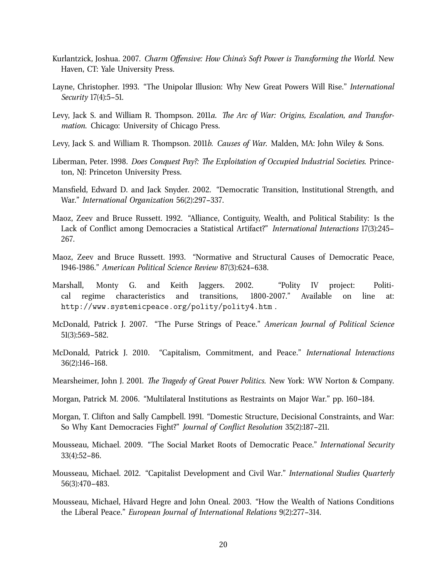- Kurlantzick, Joshua. 2007. *Charm Offensive: How China's Soft Power is Transforming the World*. New Haven, CT: Yale University Press.
- Layne, Christopher. 1993. "The Unipolar Illusion: Why New Great Powers Will Rise." *International Security* 17(4):5–51.
- Levy, Jack S. and William R. Thompson. 2011*a*. *The Arc of War: Origins, Escalation, and Transformation*. Chicago: University of Chicago Press.
- Levy, Jack S. and William R. Thompson. 2011*b*. *Causes of War*. Malden, MA: John Wiley & Sons.
- Liberman, Peter. 1998. *Does Conquest Pay?: The Exploitation of Occupied Industrial Societies*. Princeton, NJ: Princeton University Press.
- Mansfield, Edward D. and Jack Snyder. 2002. "Democratic Transition, Institutional Strength, and War." *International Organization* 56(2):297–337.
- Maoz, Zeev and Bruce Russett. 1992. "Alliance, Contiguity, Wealth, and Political Stability: Is the Lack of Conflict among Democracies a Statistical Artifact?" *International Interactions* 17(3):245– 267.
- Maoz, Zeev and Bruce Russett. 1993. "Normative and Structural Causes of Democratic Peace, 1946-1986." *American Political Science Review* 87(3):624–638.
- Marshall, Monty G. and Keith Jaggers. 2002. "Polity IV project: Political regime characteristics and transitions, 1800-2007." Available on line at: http://www.systemicpeace.org/polity/polity4.htm .
- McDonald, Patrick J. 2007. "The Purse Strings of Peace." *American Journal of Political Science* 51(3):569–582.
- McDonald, Patrick J. 2010. "Capitalism, Commitment, and Peace." *International Interactions* 36(2):146–168.
- Mearsheimer, John J. 2001. *The Tragedy of Great Power Politics*. New York: WW Norton & Company.
- Morgan, Patrick M. 2006. "Multilateral Institutions as Restraints on Major War." pp. 160–184.
- Morgan, T. Clifton and Sally Campbell. 1991. "Domestic Structure, Decisional Constraints, and War: So Why Kant Democracies Fight?" *Journal of Conflict Resolution* 35(2):187–211.
- Mousseau, Michael. 2009. "The Social Market Roots of Democratic Peace." *International Security* 33(4):52–86.
- Mousseau, Michael. 2012. "Capitalist Development and Civil War." *International Studies Quarterly* 56(3):470–483.
- Mousseau, Michael, Håvard Hegre and John Oneal. 2003. "How the Wealth of Nations Conditions the Liberal Peace." *European Journal of International Relations* 9(2):277–314.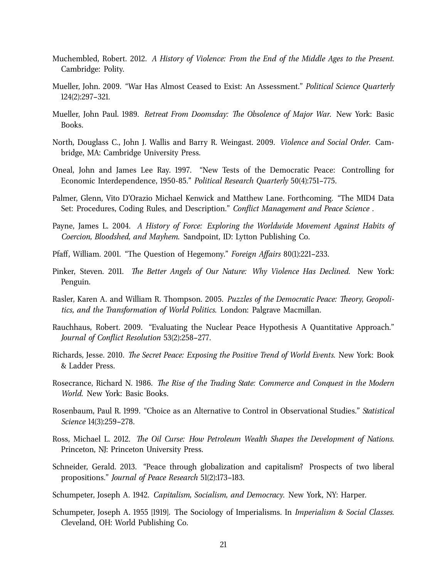- Muchembled, Robert. 2012. *A History of Violence: From the End of the Middle Ages to the Present*. Cambridge: Polity.
- Mueller, John. 2009. "War Has Almost Ceased to Exist: An Assessment." *Political Science Quarterly* 124(2):297–321.
- Mueller, John Paul. 1989. *Retreat From Doomsday: The Obsolence of Major War*. New York: Basic Books.
- North, Douglass C., John J. Wallis and Barry R. Weingast. 2009. *Violence and Social Order*. Cambridge, MA: Cambridge University Press.
- Oneal, John and James Lee Ray. 1997. "New Tests of the Democratic Peace: Controlling for Economic Interdependence, 1950-85." *Political Research Quarterly* 50(4):751–775.
- Palmer, Glenn, Vito D'Orazio Michael Kenwick and Matthew Lane. Forthcoming. "The MID4 Data Set: Procedures, Coding Rules, and Description." *Conflict Management and Peace Science* .
- Payne, James L. 2004. *A History of Force: Exploring the Worldwide Movement Against Habits of Coercion, Bloodshed, and Mayhem*. Sandpoint, ID: Lytton Publishing Co.
- Pfaff, William. 2001. "The Question of Hegemony." *Foreign Affairs* 80(1):221–233.
- Pinker, Steven. 2011. *The Better Angels of Our Nature: Why Violence Has Declined*. New York: Penguin.
- Rasler, Karen A. and William R. Thompson. 2005. *Puzzles of the Democratic Peace: Theory, Geopolitics, and the Transformation of World Politics*. London: Palgrave Macmillan.
- Rauchhaus, Robert. 2009. "Evaluating the Nuclear Peace Hypothesis A Quantitative Approach." *Journal of Conflict Resolution* 53(2):258–277.
- Richards, Jesse. 2010. *The Secret Peace: Exposing the Positive Trend of World Events*. New York: Book & Ladder Press.
- Rosecrance, Richard N. 1986. *The Rise of the Trading State: Commerce and Conquest in the Modern World*. New York: Basic Books.
- Rosenbaum, Paul R. 1999. "Choice as an Alternative to Control in Observational Studies." *Statistical Science* 14(3):259–278.
- Ross, Michael L. 2012. *The Oil Curse: How Petroleum Wealth Shapes the Development of Nations*. Princeton, NJ: Princeton University Press.
- Schneider, Gerald. 2013. "Peace through globalization and capitalism? Prospects of two liberal propositions." *Journal of Peace Research* 51(2):173–183.
- Schumpeter, Joseph A. 1942. *Capitalism, Socialism, and Democracy*. New York, NY: Harper.
- Schumpeter, Joseph A. 1955 [1919]. The Sociology of Imperialisms. In *Imperialism & Social Classes*. Cleveland, OH: World Publishing Co.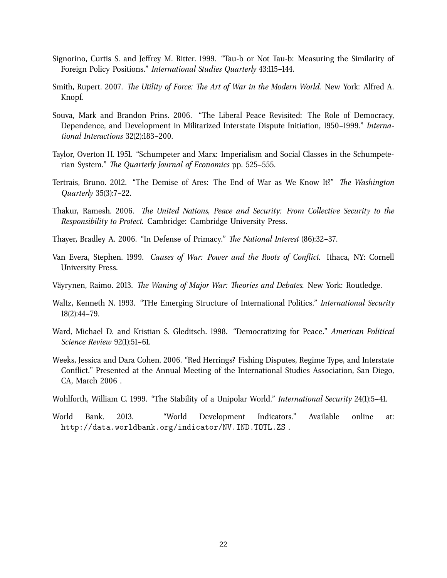- Signorino, Curtis S. and Jeffrey M. Ritter. 1999. "Tau-b or Not Tau-b: Measuring the Similarity of Foreign Policy Positions." *International Studies Quarterly* 43:115–144.
- Smith, Rupert. 2007. *The Utility of Force: The Art of War in the Modern World*. New York: Alfred A. Knopf.
- Souva, Mark and Brandon Prins. 2006. "The Liberal Peace Revisited: The Role of Democracy, Dependence, and Development in Militarized Interstate Dispute Initiation, 1950–1999." *International Interactions* 32(2):183–200.
- Taylor, Overton H. 1951. "Schumpeter and Marx: Imperialism and Social Classes in the Schumpeterian System." *The Quarterly Journal of Economics* pp. 525–555.
- Tertrais, Bruno. 2012. "The Demise of Ares: The End of War as We Know It?" *The Washington Quarterly* 35(3):7–22.
- Thakur, Ramesh. 2006. *The United Nations, Peace and Security: From Collective Security to the Responsibility to Protect*. Cambridge: Cambridge University Press.
- Thayer, Bradley A. 2006. "In Defense of Primacy." *The National Interest* (86):32–37.
- Van Evera, Stephen. 1999. *Causes of War: Power and the Roots of Conflict*. Ithaca, NY: Cornell University Press.
- Väyrynen, Raimo. 2013. *The Waning of Major War: Theories and Debates*. New York: Routledge.
- Waltz, Kenneth N. 1993. "THe Emerging Structure of International Politics." *International Security* 18(2):44–79.
- Ward, Michael D. and Kristian S. Gleditsch. 1998. "Democratizing for Peace." *American Political Science Review* 92(1):51–61.
- Weeks, Jessica and Dara Cohen. 2006. "Red Herrings? Fishing Disputes, Regime Type, and Interstate Conflict." Presented at the Annual Meeting of the International Studies Association, San Diego, CA, March 2006 .
- Wohlforth, William C. 1999. "The Stability of a Unipolar World." *International Security* 24(1):5–41.
- World Bank. 2013. "World Development Indicators." Available online at: http://data.worldbank.org/indicator/NV.IND.TOTL.ZS .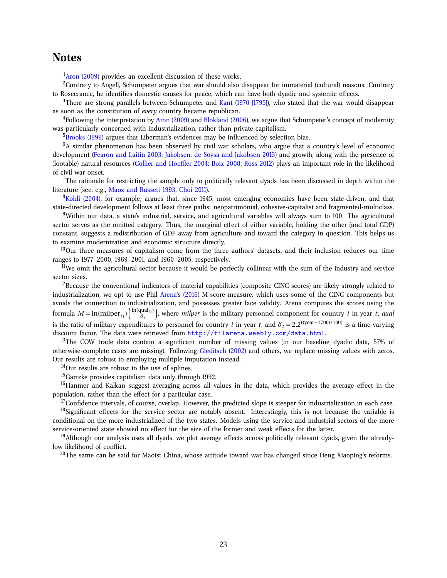### **Notes**

<sup>1</sup>Aron (2009) provides an excellent discussion of these works.

<sup>2</sup>Contrary to Angell, Schumpeter argues that war should also disappear for immaterial (cultural) reasons. Contrary to Rosecrance, he identifies domestic causes for peace, which can have both dyadic and systemic effects.

<sup>3</sup>There are strong parallels between Schumpeter and Kant (1970 [1795]), who stated that the war would disappear as soon as the constitution of *every* country became republican.

<sup>4</sup>Following the interpretation by Aron (2009) and Blokland (2006), we argue that Schumpeter's concept of modernity was particularly concerned with industrialization, rather than private capitalism.

<sup>5</sup>Brooks (1999) argues that Liberman's evidences may be influenced by selection bias.

<sup>6</sup>A similar phenomenon has been observed by civil war scholars, who argue that a country's level of economic development (Fearon and Laitin 2003; Jakobsen, de Soysa and Jakobsen 2013) and growth, along with the presence of (lootable) natural resources (Collier and Hoeffler 2004; Boix 2008; Ross 2012) plays an important role in the likelihood of civil war onset.

 $7$ The rationale for restricting the sample only to politically relevant dyads has been discussed in depth within the literature (see, e.g., Maoz and Russett 1993; Choi 2011).

 ${}^{8}$ Kohli (2004), for example, argues that, since 1945, most emerging economies have been state-driven, and that state-directed development follows at least three paths: neopatrimonial, cohesive-capitalist and fragmented-multiclass.

 $9$ Within our data, a state's industrial, service, and agricultural variables will always sum to 100. The agricultural sector serves as the omitted category. Thus, the marginal effect of either variable, holding the other (and total GDP) constant, suggests a redistribution of GDP away from agriculture and toward the category in question. This helps us to examine modernization and economic structure directly.

<sup>10</sup>Our three measures of capitalism come from the three authors' datasets, and their inclusion reduces our time ranges to 1977–2000, 1969–2001, and 1960–2005, respectively.

<sup>11</sup>We omit the agricultural sector because it would be perfectly collinear with the sum of the industry and service sector sizes.

 $12$ Because the conventional indicators of material capabilities (composite CINC scores) are likely strongly related to industrialization, we opt to use Phil Arena's (2016) M-score measure, which uses some of the CINC components but avoids the connection to industrialization, and possesses greater face validity. Arena computes the scores using the formula  $M = \ln(\text{milper}_{it}) \left( \frac{\ln(\text{qual}_{it})}{\delta_t} \right)$ *δt* ) , where *milper* is the military personnel component for country *i* in year *t*, *qual* is the ratio of military expenditures to personnel for country *i* in year *t*, and  $\delta_t = 2.2^{((year - 1700)/100)}$  is a time-varying discount factor. The data were retrieved from <http://filarena.weebly.com/data.html>.

<sup>13</sup>The COW trade data contain a significant number of missing values (in our baseline dyadic data, 57% of otherwise-complete cases are missing). Following Gleditsch (2002) and others, we replace missing values with zeros. Our results are robust to employing multiple imputation instead.

<sup>14</sup>Our results are robust to the use of splines.

<sup>15</sup>Gartzke provides capitalism data only through 1992.

<sup>16</sup>Hanmer and Kalkan suggest averaging across all values in the data, which provides the average effect in the population, rather than the effect for a particular case.

 $<sup>17</sup>$ Confidence intervals, of course, overlap. However, the predicted slope is steeper for industrialization in each case.</sup> <sup>18</sup>Significant effects for the service sector are notably absent. Interestingly, this is not because the variable is conditional on the more industrialized of the two states. Models using the service and industrial sectors of the more service-oriented state showed no effect for the size of the former and weak effects for the latter.

<sup>19</sup>Although our analysis uses all dyads, we plot average effects across politically relevant dyads, given the alreadylow likelihood of conflict.

<sup>20</sup>The same can be said for Maoist China, whose attitude toward war has changed since Deng Xiaoping's reforms.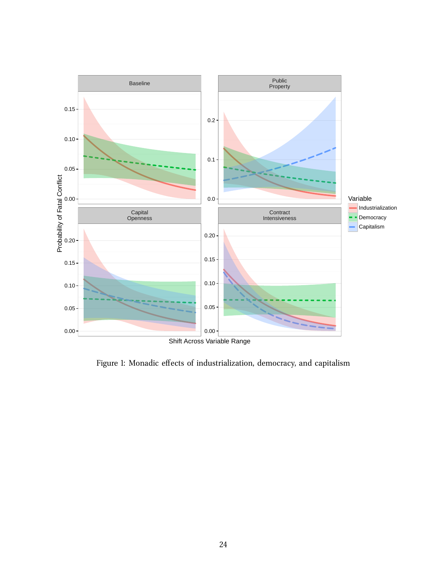

Figure 1: Monadic effects of industrialization, democracy, and capitalism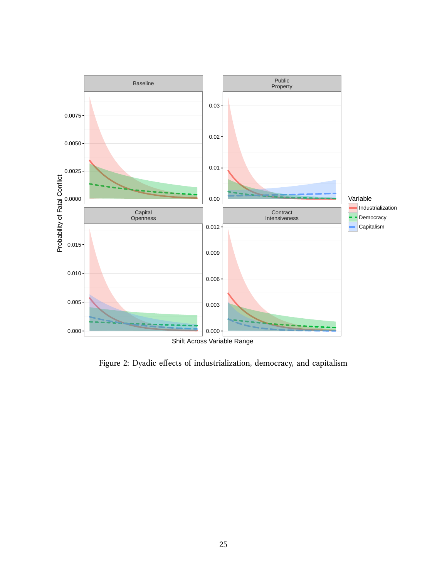

Figure 2: Dyadic effects of industrialization, democracy, and capitalism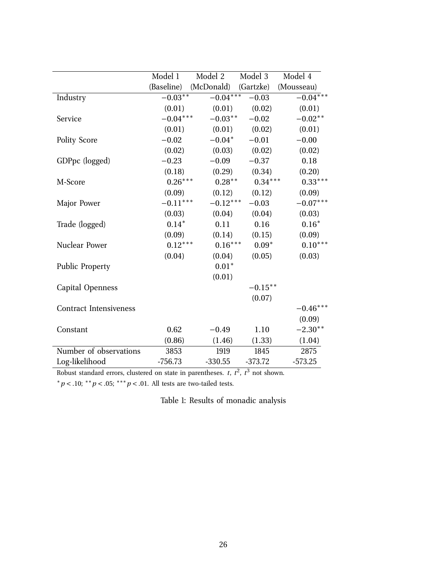|                               | Model 1    | Model 2       | Model 3           | Model 4    |
|-------------------------------|------------|---------------|-------------------|------------|
|                               | (Baseline) | (McDonald)    | (Gartzke)         | (Mousseau) |
| Industry                      | $-0.03***$ | $-0.04***$    | $-0.03$           | $-0.04***$ |
|                               | (0.01)     |               | $(0.01)$ $(0.02)$ | (0.01)     |
| Service                       | $-0.04***$ | $-0.03***$    | $-0.02$           | $-0.02**$  |
|                               | (0.01)     |               | $(0.01)$ $(0.02)$ | (0.01)     |
| <b>Polity Score</b>           | $-0.02$    | $-0.04*$      | $-0.01$           | $-0.00$    |
|                               | (0.02)     | (0.03)        | (0.02)            | (0.02)     |
| GDPpc (logged)                | $-0.23$    | $-0.09$       | $-0.37$           | 0.18       |
|                               | (0.18)     | (0.29)        | (0.34)            | (0.20)     |
| M-Score                       | $0.26***$  | $0.28***$     | $0.34***$         | $0.33***$  |
|                               | (0.09)     |               | $(0.12)$ $(0.12)$ | (0.09)     |
| Major Power                   | $-0.11***$ | $-0.12***$    | $-0.03$           | $-0.07***$ |
|                               | (0.03)     | (0.04)        | (0.04)            | (0.03)     |
| Trade (logged)                | $0.14*$    | 0.11          | 0.16              | $0.16*$    |
|                               | (0.09)     | (0.14)        | (0.15)            | (0.09)     |
| Nuclear Power                 | $0.12***$  | $0.16***$     | $0.09*$           | $0.10***$  |
|                               | (0.04)     | (0.04)        | (0.05)            | (0.03)     |
| <b>Public Property</b>        |            | $0.01^{\ast}$ |                   |            |
|                               |            | (0.01)        |                   |            |
| <b>Capital Openness</b>       |            |               | $-0.15***$        |            |
|                               |            |               | (0.07)            |            |
| <b>Contract Intensiveness</b> |            |               |                   | $-0.46***$ |
|                               |            |               |                   | (0.09)     |
| Constant                      | 0.62       | $-0.49$       | 1.10              | $-2.30**$  |
|                               | (0.86)     | (1.46)        | (1.33)            | (1.04)     |
| Number of observations        | 3853       | 1919          | 1845              | 2875       |
| Log-likelihood                | $-756.73$  | $-330.55$     | $-373.72$         | $-573.25$  |

Robust standard errors, clustered on state in parentheses.  $t$ ,  $t^2$ ,  $t^3$  not shown.

*<sup>∗</sup>p <* .10; *∗∗p <* .05; *∗∗∗p <* .01. All tests are two-tailed tests.

Table 1: Results of monadic analysis